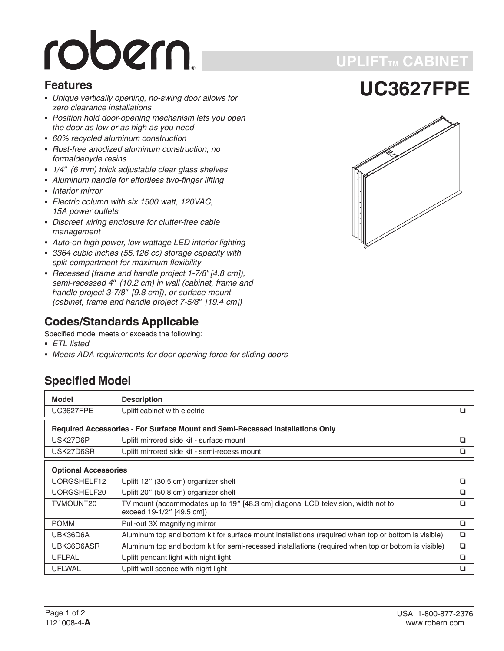# robern.

#### **Features**

- *Unique vertically opening, no-swing door allows for zero clearance installations*
- *Position hold door-opening mechanism lets you open the door as low or as high as you need*
- *60% recycled aluminum construction*
- *Rust-free anodized aluminum construction, no formaldehyde resins* • Hust-free anodized aluminum construction, no<br>formaldehyde resins<br>• 1/4" (6 mm) thick adjustable clear glass shelves
- 
- *Aluminum handle for effortless two-finger lifting* -
- *Interior mirror* -
- *Electric column with six 1500 watt, 120VAC, 15A power outlets*
- *Discreet wiring enclosure for clutter-free cable management*
- *Auto-on high power, low wattage LED interior lighting* -
- *3364 cubic inches (55,126 cc) storage capacity with split compartment for maximum flexibility* • 3364 cubic incnes (55,126 cc) storage capacity with<br>split compartment for maximum flexibility<br>• Recessed (frame and handle project 1-7/8"[4.8 cm]),
- *spiit compartment<br>Recessed (frame<br>semi-recessed 4" (10.2 cm) in wall (cabinet, frame and Hecessed (trame and<br>semi-recessed 4" (1)<br>handle project 3-7/8" [9.8 cm]), or surface mount semi-recessed 4" (10.2 cm) in wall (cabir<br>handle project 3-7/8" [9.8 cm]), or surfact<br>(cabinet, frame and handle project 7-5/8" (cabinet, frame and handle project 7-5/8" [19.4 cm])*

#### **Codes/Standards Applicable**

Specified model meets or exceeds the following:

- *ETL listed*
- *Meets ADA requirements for door opening force for sliding doors*

#### **Specified Model**

| <b>Model</b>                                                                  | <b>Description</b>                                                                                            |        |  |
|-------------------------------------------------------------------------------|---------------------------------------------------------------------------------------------------------------|--------|--|
| <b>UC3627FPE</b>                                                              | Uplift cabinet with electric                                                                                  | ❏      |  |
| Required Accessories - For Surface Mount and Semi-Recessed Installations Only |                                                                                                               |        |  |
| USK27D6P                                                                      | Uplift mirrored side kit - surface mount                                                                      | ❏      |  |
| USK27D6SR                                                                     | Uplift mirrored side kit - semi-recess mount                                                                  | ⊔      |  |
| <b>Optional Accessories</b>                                                   |                                                                                                               |        |  |
| UORGSHELF12                                                                   | Uplift 12" (30.5 cm) organizer shelf                                                                          | ◘      |  |
| UORGSHELF20                                                                   | Uplift 20" (50.8 cm) organizer shelf                                                                          | ❏      |  |
| TVMOUNT20                                                                     | TV mount (accommodates up to 19" [48.3 cm] diagonal LCD television, width not to<br>exceed 19-1/2" [49.5 cm]) | ◘      |  |
| <b>POMM</b>                                                                   | Pull-out 3X magnifying mirror                                                                                 | ◘      |  |
| UBK36D6A                                                                      | Aluminum top and bottom kit for surface mount installations (required when top or bottom is visible)          | $\Box$ |  |
| UBK36D6ASR                                                                    | Aluminum top and bottom kit for semi-recessed installations (required when top or bottom is visible)          | $\Box$ |  |
| <b>UFLPAL</b>                                                                 | Uplift pendant light with night light                                                                         | ❏      |  |
| <b>UFLWAL</b>                                                                 | Uplift wall sconce with night light                                                                           | ❏      |  |



**UPLIFTTM CABINET**